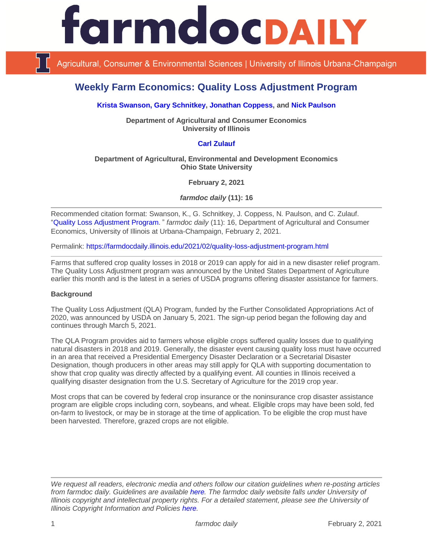

Agricultural, Consumer & Environmental Sciences | University of Illinois Urbana-Champaign

# **Weekly Farm Economics: Quality Loss Adjustment Program**

## **[Krista Swanson,](https://ace.illinois.edu/directory/krista) [Gary Schnitkey,](https://ace.illinois.edu/directory/schnitke) [Jonathan Coppess,](https://ace.illinois.edu/directory/jwcoppes) and [Nick Paulson](https://ace.illinois.edu/directory/npaulson)**

**Department of Agricultural and Consumer Economics University of Illinois**

## **[Carl Zulauf](http://aede.osu.edu/our-people/carl-zulauf)**

#### **Department of Agricultural, Environmental and Development Economics Ohio State University**

**February 2, 2021**

*farmdoc daily* **(11): 16**

Recommended citation format: Swanson, K., G. Schnitkey, J. Coppess, N. Paulson, and C. Zulauf. ["Quality Loss Adjustment Program](https://farmdocdaily.illinois.edu/2021/02/quality-loss-adjustment-program.html)." *farmdoc daily* (11): 16, Department of Agricultural and Consumer Economics, University of Illinois at Urbana-Champaign, February 2, 2021.

Permalink:<https://farmdocdaily.illinois.edu/2021/02/quality-loss-adjustment-program.html>

Farms that suffered crop quality losses in 2018 or 2019 can apply for aid in a new disaster relief program. The Quality Loss Adjustment program was announced by the United States Department of Agriculture earlier this month and is the latest in a series of USDA programs offering disaster assistance for farmers.

#### **Background**

The Quality Loss Adjustment (QLA) Program, funded by the Further Consolidated Appropriations Act of 2020, was announced by USDA on January 5, 2021. The sign-up period began the following day and continues through March 5, 2021.

The QLA Program provides aid to farmers whose eligible crops suffered quality losses due to qualifying natural disasters in 2018 and 2019. Generally, the disaster event causing quality loss must have occurred in an area that received a Presidential Emergency Disaster Declaration or a Secretarial Disaster Designation, though producers in other areas may still apply for QLA with supporting documentation to show that crop quality was directly affected by a qualifying event. All counties in Illinois received a qualifying disaster designation from the U.S. Secretary of Agriculture for the 2019 crop year.

Most crops that can be covered by federal crop insurance or the noninsurance crop disaster assistance program are eligible crops including corn, soybeans, and wheat. Eligible crops may have been sold, fed on-farm to livestock, or may be in storage at the time of application. To be eligible the crop must have been harvested. Therefore, grazed crops are not eligible.

*We request all readers, electronic media and others follow our citation guidelines when re-posting articles from farmdoc daily. Guidelines are available [here.](http://farmdocdaily.illinois.edu/citationguide.html) The farmdoc daily website falls under University of Illinois copyright and intellectual property rights. For a detailed statement, please see the University of Illinois Copyright Information and Policies [here.](http://www.cio.illinois.edu/policies/copyright/)*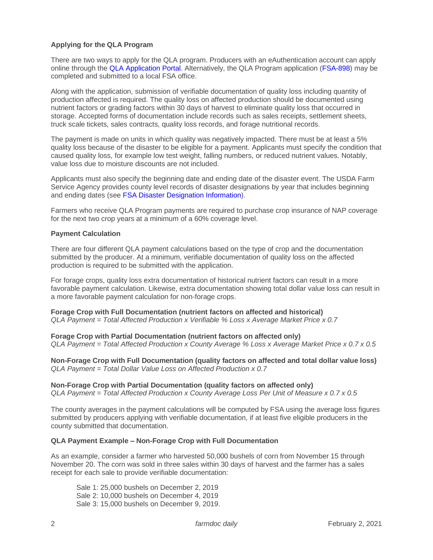## **Applying for the QLA Program**

There are two ways to apply for the QLA program. Producers with an eAuthentication account can apply online through the [QLA Application Portal.](https://apps.fsa.usda.gov/usda_scc_gateway/qla/index.jsp) Alternatively, the QLA Program application [\(FSA-898\)](https://www.farmers.gov/sites/default/files/documents/FSA-898-01062021.pdf) may be completed and submitted to a local FSA office.

Along with the application, submission of verifiable documentation of quality loss including quantity of production affected is required. The quality loss on affected production should be documented using nutrient factors or grading factors within 30 days of harvest to eliminate quality loss that occurred in storage. Accepted forms of documentation include records such as sales receipts, settlement sheets, truck scale tickets, sales contracts, quality loss records, and forage nutritional records.

The payment is made on units in which quality was negatively impacted. There must be at least a 5% quality loss because of the disaster to be eligible for a payment. Applicants must specify the condition that caused quality loss, for example low test weight, falling numbers, or reduced nutrient values. Notably, value loss due to moisture discounts are not included.

Applicants must also specify the beginning date and ending date of the disaster event. The USDA Farm Service Agency provides county level records of disaster designations by year that includes beginning and ending dates (see [FSA Disaster Designation Information\)](https://www.fsa.usda.gov/programs-and-services/disaster-assistance-program/disaster-designation-information/index).

Farmers who receive QLA Program payments are required to purchase crop insurance of NAP coverage for the next two crop years at a minimum of a 60% coverage level.

#### **Payment Calculation**

There are four different QLA payment calculations based on the type of crop and the documentation submitted by the producer. At a minimum, verifiable documentation of quality loss on the affected production is required to be submitted with the application.

For forage crops, quality loss extra documentation of historical nutrient factors can result in a more favorable payment calculation. Likewise, extra documentation showing total dollar value loss can result in a more favorable payment calculation for non-forage crops.

**Forage Crop with Full Documentation (nutrient factors on affected and historical)** *QLA Payment = Total Affected Production x Verifiable % Loss x Average Market Price x 0.7*

**Forage Crop with Partial Documentation (nutrient factors on affected only)** *QLA Payment = Total Affected Production x County Average % Loss x Average Market Price x 0.7 x 0.5*

**Non-Forage Crop with Full Documentation (quality factors on affected and total dollar value loss)** *QLA Payment = Total Dollar Value Loss on Affected Production x 0.7*

## **Non-Forage Crop with Partial Documentation (quality factors on affected only)**

*QLA Payment = Total Affected Production x County Average Loss Per Unit of Measure x 0.7 x 0.5*

The county averages in the payment calculations will be computed by FSA using the average loss figures submitted by producers applying with verifiable documentation, if at least five eligible producers in the county submitted that documentation.

## **QLA Payment Example – Non-Forage Crop with Full Documentation**

As an example, consider a farmer who harvested 50,000 bushels of corn from November 15 through November 20. The corn was sold in three sales within 30 days of harvest and the farmer has a sales receipt for each sale to provide verifiable documentation:

Sale 1: 25,000 bushels on December 2, 2019 Sale 2: 10,000 bushels on December 4, 2019 Sale 3: 15,000 bushels on December 9, 2019.